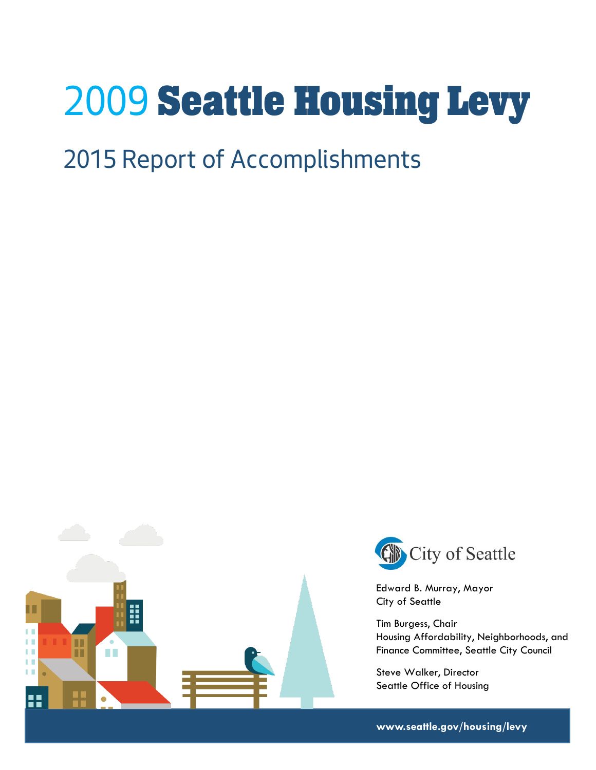# *2009* Seattle Housing Levy

# *2015 Report of Accomplishments*





Edward B. Murray, Mayor City of Seattle

Tim Burgess, Chair Housing Affordability, Neighborhoods, and Finance Committee, Seattle City Council

Steve Walker, Director Seattle Office of Housing

**www.seattle.gov/housing/levy**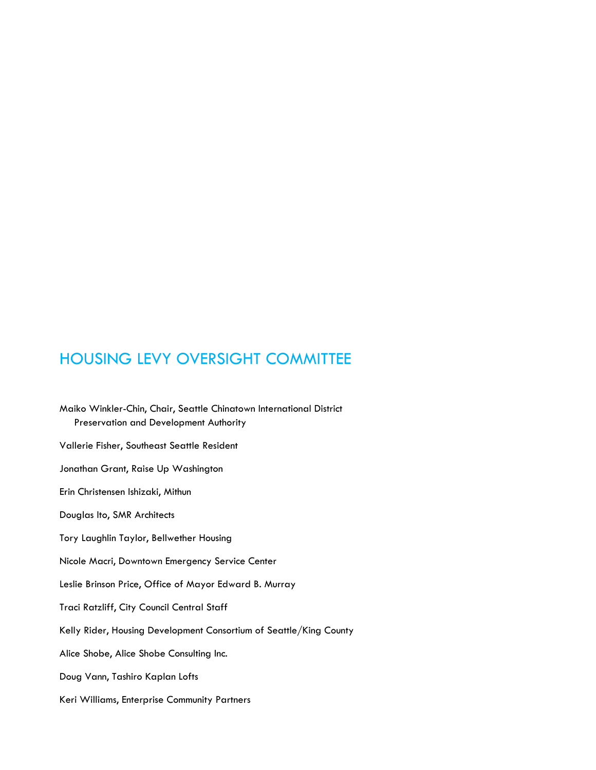## HOUSING LEVY OVERSIGHT COMMITTEE

Maiko Winkler-Chin, Chair, Seattle Chinatown International District Preservation and Development Authority Vallerie Fisher, Southeast Seattle Resident Jonathan Grant, Raise Up Washington Erin Christensen Ishizaki, Mithun Douglas Ito, SMR Architects Tory Laughlin Taylor, Bellwether Housing Nicole Macri, Downtown Emergency Service Center Leslie Brinson Price, Office of Mayor Edward B. Murray Traci Ratzliff, City Council Central Staff Kelly Rider, Housing Development Consortium of Seattle/King County Alice Shobe, Alice Shobe Consulting Inc. Doug Vann, Tashiro Kaplan Lofts Keri Williams, Enterprise Community Partners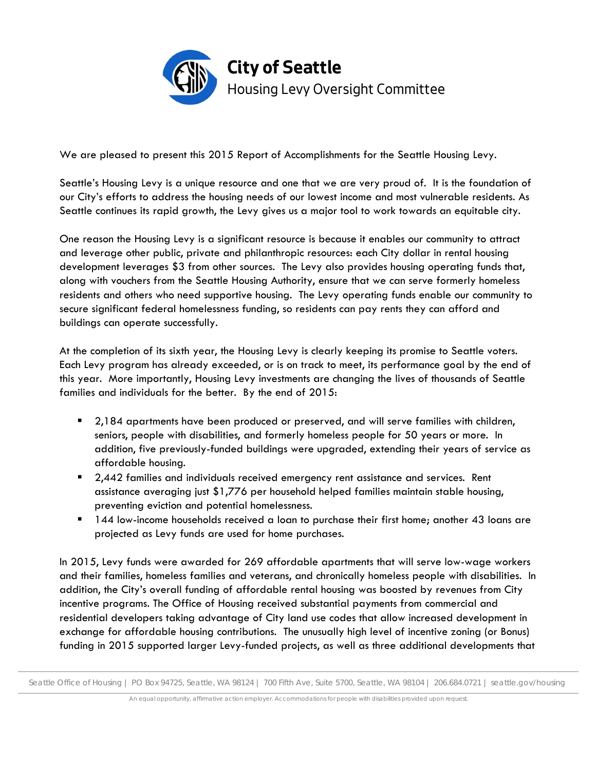

We are pleased to present this 2015 Report of Accomplishments for the Seattle Housing Levy.

Seattle's Housing Levy is a unique resource and one that we are very proud of. It is the foundation of our City's efforts to address the housing needs of our lowest income and most vulnerable residents. As Seattle continues its rapid growth, the Levy gives us a major tool to work towards an equitable city.

One reason the Housing Levy is a significant resource is because it enables our community to attract and leverage other public, private and philanthropic resources: each City dollar in rental housing development leverages \$3 from other sources. The Levy also provides housing operating funds that, along with vouchers from the Seattle Housing Authority, ensure that we can serve formerly homeless residents and others who need supportive housing. The Levy operating funds enable our community to secure significant federal homelessness funding, so residents can pay rents they can afford and buildings can operate successfully.

At the completion of its sixth year, the Housing Levy is clearly keeping its promise to Seattle voters. Each Levy program has already exceeded, or is on track to meet, its performance goal by the end of this year. More importantly, Housing Levy investments are changing the lives of thousands of Seattle families and individuals for the better. By the end of 2015:

- 2,184 apartments have been produced or preserved, and will serve families with children, seniors, people with disabilities, and formerly homeless people for 50 years or more. In addition, five previously-funded buildings were upgraded, extending their years of service as affordable housing.
- 2,442 families and individuals received emergency rent assistance and services. Rent assistance averaging just \$1,776 per household helped families maintain stable housing, preventing eviction and potential homelessness.
- 144 low-income households received a loan to purchase their first home; another 43 loans are projected as Levy funds are used for home purchases.

In 2015, Levy funds were awarded for 269 affordable apartments that will serve low-wage workers and their families, homeless families and veterans, and chronically homeless people with disabilities. In addition, the City's overall funding of affordable rental housing was boosted by revenues from City incentive programs. The Office of Housing received substantial payments from commercial and residential developers taking advantage of City land use codes that allow increased development in exchange for affordable housing contributions. The unusually high level of incentive zoning (or Bonus) funding in 2015 supported larger Levy-funded projects, as well as three additional developments that

Seattle Office of Housing | PO Box 94725, Seattle, WA 98124 | 700 Fifth Ave, Suite 5700, Seattle, WA 98104 | 206.684.0721 | seattle.gov/housing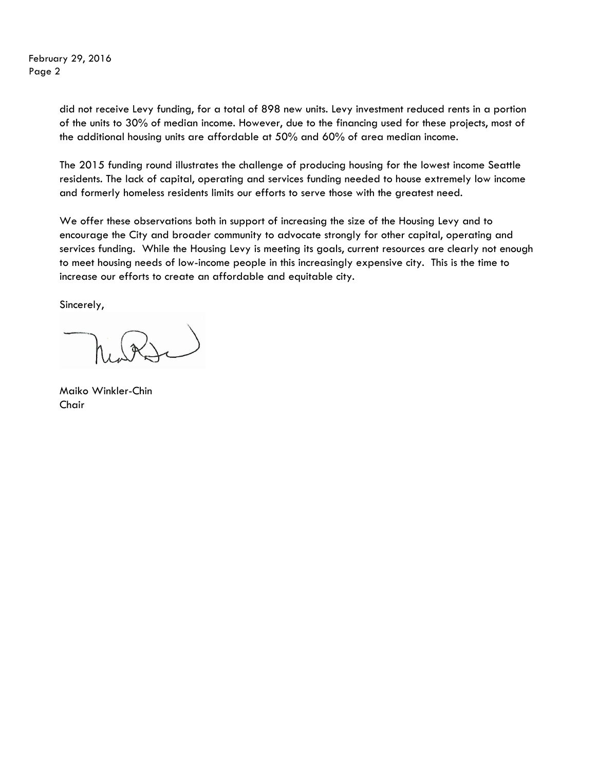February 29, 2016 Page 2

> did not receive Levy funding, for a total of 898 new units. Levy investment reduced rents in a portion of the units to 30% of median income. However, due to the financing used for these projects, most of the additional housing units are affordable at 50% and 60% of area median income.

> The 2015 funding round illustrates the challenge of producing housing for the lowest income Seattle residents. The lack of capital, operating and services funding needed to house extremely low income and formerly homeless residents limits our efforts to serve those with the greatest need.

We offer these observations both in support of increasing the size of the Housing Levy and to encourage the City and broader community to advocate strongly for other capital, operating and services funding. While the Housing Levy is meeting its goals, current resources are clearly not enough to meet housing needs of low-income people in this increasingly expensive city. This is the time to increase our efforts to create an affordable and equitable city.

Sincerely,

Maiko Winkler-Chin Chair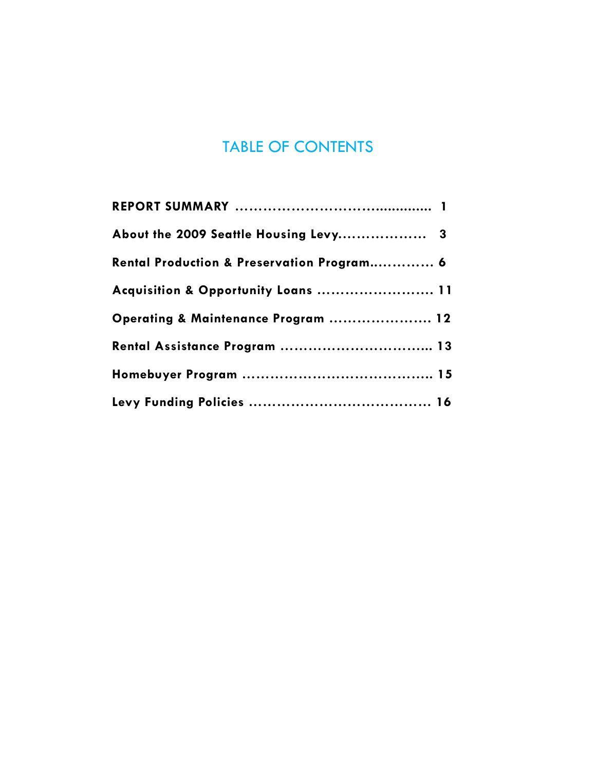# TABLE OF CONTENTS

| About the 2009 Seattle Housing Levy 3      |  |
|--------------------------------------------|--|
| Rental Production & Preservation Program 6 |  |
| Acquisition & Opportunity Loans  11        |  |
| Operating & Maintenance Program  12        |  |
| Rental Assistance Program  13              |  |
|                                            |  |
|                                            |  |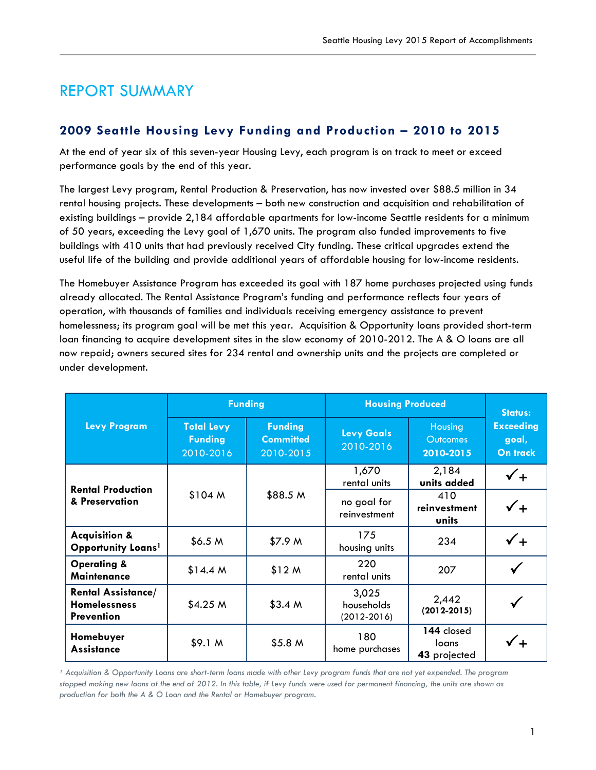# REPORT SUMMARY

#### **2009 Seattle Housing Levy Funding and Production – 2010 to 2015**

At the end of year six of this seven-year Housing Levy, each program is on track to meet or exceed performance goals by the end of this year.

The largest Levy program, Rental Production & Preservation, has now invested over \$88.5 million in 34 rental housing projects. These developments – both new construction and acquisition and rehabilitation of existing buildings – provide 2,184 affordable apartments for low-income Seattle residents for a minimum of 50 years, exceeding the Levy goal of 1,670 units. The program also funded improvements to five buildings with 410 units that had previously received City funding. These critical upgrades extend the useful life of the building and provide additional years of affordable housing for low-income residents.

The Homebuyer Assistance Program has exceeded its goal with 187 home purchases projected using funds already allocated. The Rental Assistance Program's funding and performance reflects four years of operation, with thousands of families and individuals receiving emergency assistance to prevent homelessness; its program goal will be met this year. Acquisition & Opportunity loans provided short-term loan financing to acquire development sites in the slow economy of 2010-2012. The A & O loans are all now repaid; owners secured sites for 234 rental and ownership units and the projects are completed or under development.

|                                                                       |                                                  | <b>Funding</b>                                  | <b>Housing Produced</b>                |                                         | <b>Status:</b>                        |
|-----------------------------------------------------------------------|--------------------------------------------------|-------------------------------------------------|----------------------------------------|-----------------------------------------|---------------------------------------|
| <b>Levy Program</b>                                                   | <b>Total Levy</b><br><b>Funding</b><br>2010-2016 | <b>Funding</b><br><b>Committed</b><br>2010-2015 | <b>Levy Goals</b><br>2010-2016         | Housing<br><b>Outcomes</b><br>2010-2015 | <b>Exceeding</b><br>goal,<br>On track |
| <b>Rental Production</b>                                              |                                                  |                                                 | 1,670<br>rental units                  | 2,184<br>units added                    |                                       |
| & Preservation                                                        | \$104 M                                          | \$88.5 M                                        | no goal for<br>reinvestment            | 410<br>reinvestment<br>units            | $\checkmark_+$                        |
| <b>Acquisition &amp;</b><br>Opportunity Loans <sup>1</sup>            | \$6.5 M                                          | \$7.9 M                                         | 175<br>housing units                   | 234                                     |                                       |
| <b>Operating &amp;</b><br><b>Maintenance</b>                          | \$14.4 M                                         | \$12 M                                          | 220<br>rental units                    | 207                                     |                                       |
| <b>Rental Assistance/</b><br><b>Homelessness</b><br><b>Prevention</b> | \$4.25 M\$                                       | \$3.4 M                                         | 3,025<br>households<br>$(2012 - 2016)$ | 2,442<br>$(2012 - 2015)$                |                                       |
| Homebuyer<br><b>Assistance</b>                                        | \$9.1 <sub>M</sub>                               | \$5.8 <sub>M</sub>                              | 180<br>home purchases                  | 144 closed<br>loans<br>43 projected     |                                       |

<sup>1</sup> Acquisition & Opportunity Loans are short-term loans made with other Levy program funds that are not yet expended. The program *stopped making new loans at the end of 2012. In this table, if Levy funds were used for permanent financing, the units are shown as production for both the A & O Loan and the Rental or Homebuyer program.*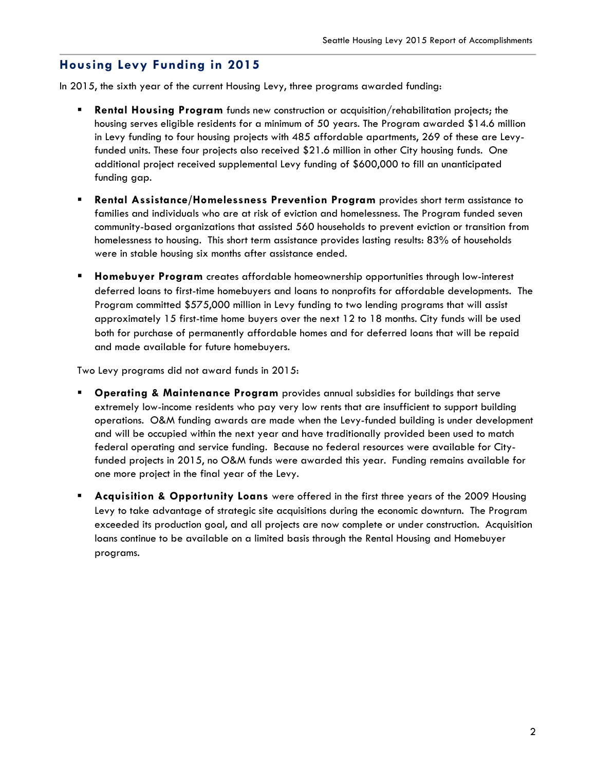#### **Housing Levy Funding in 2015**

In 2015, the sixth year of the current Housing Levy, three programs awarded funding:

- **Rental Housing Program** funds new construction or acquisition/rehabilitation projects; the housing serves eligible residents for a minimum of 50 years. The Program awarded \$14.6 million in Levy funding to four housing projects with 485 affordable apartments, 269 of these are Levyfunded units. These four projects also received \$21.6 million in other City housing funds. One additional project received supplemental Levy funding of \$600,000 to fill an unanticipated funding gap.
- **Rental Assistance/Homelessness Prevention Program** provides short term assistance to families and individuals who are at risk of eviction and homelessness. The Program funded seven community-based organizations that assisted 560 households to prevent eviction or transition from homelessness to housing. This short term assistance provides lasting results: 83% of households were in stable housing six months after assistance ended.
- **Homebuyer Program** creates affordable homeownership opportunities through low-interest deferred loans to first-time homebuyers and loans to nonprofits for affordable developments. The Program committed \$575,000 million in Levy funding to two lending programs that will assist approximately 15 first-time home buyers over the next 12 to 18 months. City funds will be used both for purchase of permanently affordable homes and for deferred loans that will be repaid and made available for future homebuyers.

Two Levy programs did not award funds in 2015:

- **Operating & Maintenance Program** provides annual subsidies for buildings that serve extremely low-income residents who pay very low rents that are insufficient to support building operations. O&M funding awards are made when the Levy-funded building is under development and will be occupied within the next year and have traditionally provided been used to match federal operating and service funding. Because no federal resources were available for Cityfunded projects in 2015, no O&M funds were awarded this year. Funding remains available for one more project in the final year of the Levy.
- **Acquisition & Opportunity Loans** were offered in the first three years of the 2009 Housing Levy to take advantage of strategic site acquisitions during the economic downturn. The Program exceeded its production goal, and all projects are now complete or under construction. Acquisition loans continue to be available on a limited basis through the Rental Housing and Homebuyer programs.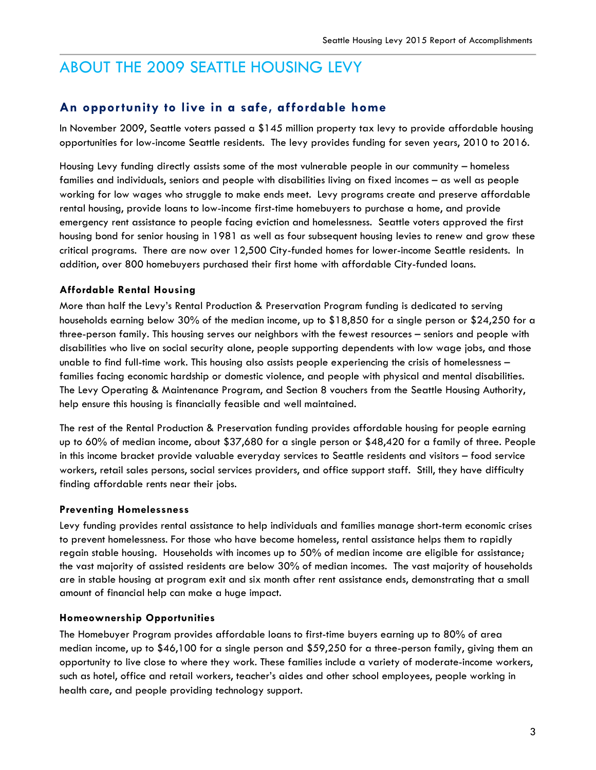# ABOUT THE 2009 SEATTLE HOUSING LEVY

#### **An opportunity to live in a safe, affordable home**

In November 2009, Seattle voters passed a \$145 million property tax levy to provide affordable housing opportunities for low-income Seattle residents. The levy provides funding for seven years, 2010 to 2016.

Housing Levy funding directly assists some of the most vulnerable people in our community – homeless families and individuals, seniors and people with disabilities living on fixed incomes – as well as people working for low wages who struggle to make ends meet. Levy programs create and preserve affordable rental housing, provide loans to low-income first-time homebuyers to purchase a home, and provide emergency rent assistance to people facing eviction and homelessness. Seattle voters approved the first housing bond for senior housing in 1981 as well as four subsequent housing levies to renew and grow these critical programs. There are now over 12,500 City-funded homes for lower-income Seattle residents. In addition, over 800 homebuyers purchased their first home with affordable City-funded loans.

#### **Affordable Rental Housing**

More than half the Levy's Rental Production & Preservation Program funding is dedicated to serving households earning below 30% of the median income, up to \$18,850 for a single person or \$24,250 for a three-person family. This housing serves our neighbors with the fewest resources – seniors and people with disabilities who live on social security alone, people supporting dependents with low wage jobs, and those unable to find full-time work. This housing also assists people experiencing the crisis of homelessness – families facing economic hardship or domestic violence, and people with physical and mental disabilities. The Levy Operating & Maintenance Program, and Section 8 vouchers from the Seattle Housing Authority, help ensure this housing is financially feasible and well maintained.

The rest of the Rental Production & Preservation funding provides affordable housing for people earning up to 60% of median income, about \$37,680 for a single person or \$48,420 for a family of three. People in this income bracket provide valuable everyday services to Seattle residents and visitors – food service workers, retail sales persons, social services providers, and office support staff. Still, they have difficulty finding affordable rents near their jobs.

#### **Preventing Homelessness**

Levy funding provides rental assistance to help individuals and families manage short-term economic crises to prevent homelessness. For those who have become homeless, rental assistance helps them to rapidly regain stable housing. Households with incomes up to 50% of median income are eligible for assistance; the vast majority of assisted residents are below 30% of median incomes. The vast majority of households are in stable housing at program exit and six month after rent assistance ends, demonstrating that a small amount of financial help can make a huge impact.

#### **Homeownership Opportunities**

The Homebuyer Program provides affordable loans to first-time buyers earning up to 80% of area median income, up to \$46,100 for a single person and \$59,250 for a three-person family, giving them an opportunity to live close to where they work. These families include a variety of moderate-income workers, such as hotel, office and retail workers, teacher's aides and other school employees, people working in health care, and people providing technology support.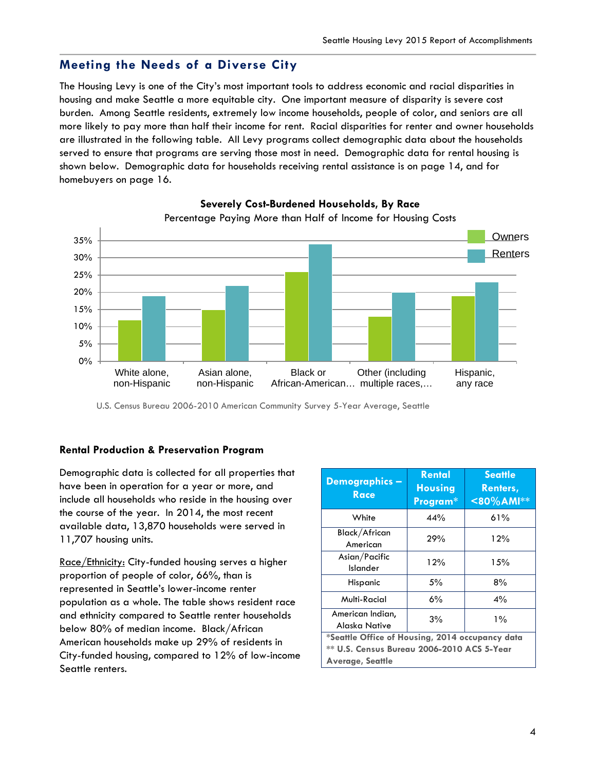#### **Meeting the Needs of a Diverse City**

The Housing Levy is one of the City's most important tools to address economic and racial disparities in housing and make Seattle a more equitable city. One important measure of disparity is severe cost burden. Among Seattle residents, extremely low income households, people of color, and seniors are all more likely to pay more than half their income for rent. Racial disparities for renter and owner households are illustrated in the following table. All Levy programs collect demographic data about the households served to ensure that programs are serving those most in need. Demographic data for rental housing is shown below. Demographic data for households receiving rental assistance is on page 14, and for homebuyers on page 16.



**Severely Cost-Burdened Households, By Race**

U.S. Census Bureau 2006-2010 American Community Survey 5-Year Average, Seattle

#### **Rental Production & Preservation Program**

Demographic data is collected for all properties that have been in operation for a year or more, and include all households who reside in the housing over the course of the year. In 2014, the most recent available data, 13,870 households were served in 11,707 housing units.

Race/Ethnicity: City-funded housing serves a higher proportion of people of color, 66%, than is represented in Seattle's lower-income renter population as a whole. The table shows resident race and ethnicity compared to Seattle renter households below 80% of median income. Black/African American households make up 29% of residents in City-funded housing, compared to 12% of low-income Seattle renters.

| Demographics-<br><b>Race</b>                    | <b>Rental</b><br><b>Housing</b><br>Program* | <b>Seattle</b><br>Renters,<br>$80\%$ AMI** |  |
|-------------------------------------------------|---------------------------------------------|--------------------------------------------|--|
| White                                           | 44%                                         | 61%                                        |  |
| Black/African<br>American                       | 29%                                         | 12%                                        |  |
| Asian/Pacific<br>Islander                       | 12%                                         | 15%                                        |  |
| Hispanic                                        | 5%                                          | 8%                                         |  |
| Multi-Racial                                    | 6%                                          | 4%                                         |  |
| American Indian,<br>Alaska Native               | 3%                                          | $1\%$                                      |  |
| *Seattle Office of Housing, 2014 occupancy data |                                             |                                            |  |
| ** U.S. Census Bureau 2006-2010 ACS 5-Year      |                                             |                                            |  |
| <b>Average, Seattle</b>                         |                                             |                                            |  |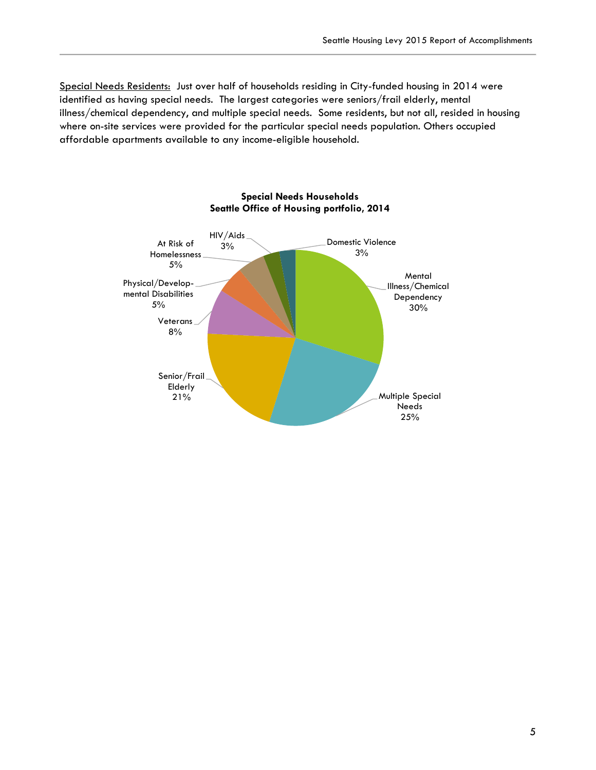Special Needs Residents: Just over half of households residing in City-funded housing in 2014 were identified as having special needs. The largest categories were seniors/frail elderly, mental illness/chemical dependency, and multiple special needs. Some residents, but not all, resided in housing where on-site services were provided for the particular special needs population. Others occupied affordable apartments available to any income-eligible household.

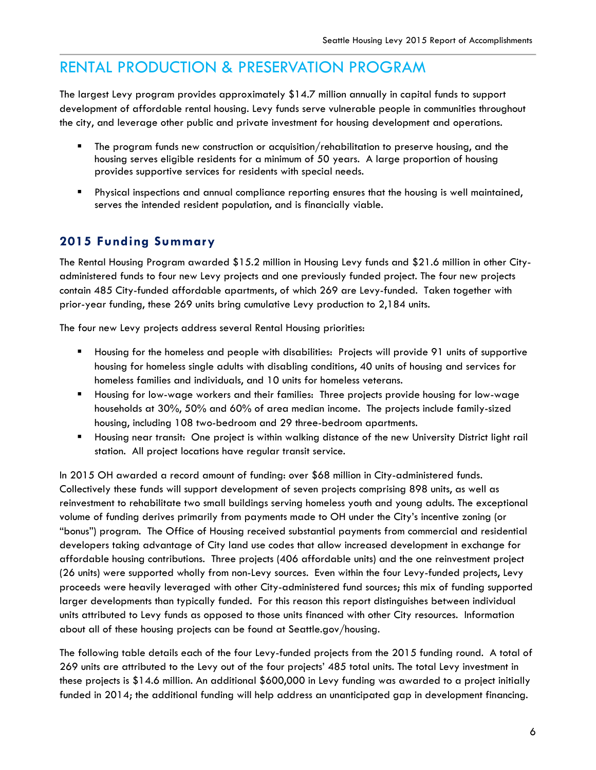# RENTAL PRODUCTION & PRESERVATION PROGRAM

The largest Levy program provides approximately \$14.7 million annually in capital funds to support development of affordable rental housing. Levy funds serve vulnerable people in communities throughout the city, and leverage other public and private investment for housing development and operations.

- The program funds new construction or acquisition/rehabilitation to preserve housing, and the housing serves eligible residents for a minimum of 50 years. A large proportion of housing provides supportive services for residents with special needs.
- Physical inspections and annual compliance reporting ensures that the housing is well maintained, serves the intended resident population, and is financially viable.

#### **2015 Funding Summary**

The Rental Housing Program awarded \$15.2 million in Housing Levy funds and \$21.6 million in other Cityadministered funds to four new Levy projects and one previously funded project. The four new projects contain 485 City-funded affordable apartments, of which 269 are Levy-funded. Taken together with prior-year funding, these 269 units bring cumulative Levy production to 2,184 units.

The four new Levy projects address several Rental Housing priorities:

- Housing for the homeless and people with disabilities: Projects will provide 91 units of supportive housing for homeless single adults with disabling conditions, 40 units of housing and services for homeless families and individuals, and 10 units for homeless veterans.
- Housing for low-wage workers and their families: Three projects provide housing for low-wage households at 30%, 50% and 60% of area median income. The projects include family-sized housing, including 108 two-bedroom and 29 three-bedroom apartments.
- Housing near transit: One project is within walking distance of the new University District light rail station. All project locations have regular transit service.

In 2015 OH awarded a record amount of funding: over \$68 million in City-administered funds. Collectively these funds will support development of seven projects comprising 898 units, as well as reinvestment to rehabilitate two small buildings serving homeless youth and young adults. The exceptional volume of funding derives primarily from payments made to OH under the City's incentive zoning (or "bonus") program. The Office of Housing received substantial payments from commercial and residential developers taking advantage of City land use codes that allow increased development in exchange for affordable housing contributions. Three projects (406 affordable units) and the one reinvestment project (26 units) were supported wholly from non-Levy sources. Even within the four Levy-funded projects, Levy proceeds were heavily leveraged with other City-administered fund sources; this mix of funding supported larger developments than typically funded. For this reason this report distinguishes between individual units attributed to Levy funds as opposed to those units financed with other City resources. Information about all of these housing projects can be found at Seattle.gov/housing.

The following table details each of the four Levy-funded projects from the 2015 funding round. A total of 269 units are attributed to the Levy out of the four projects' 485 total units. The total Levy investment in these projects is \$14.6 million. An additional \$600,000 in Levy funding was awarded to a project initially funded in 2014; the additional funding will help address an unanticipated gap in development financing.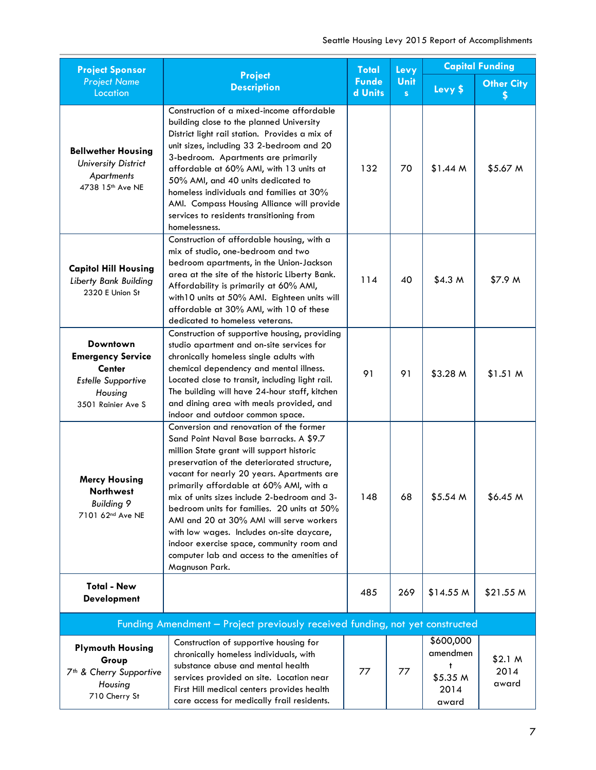| <b>Project Sponsor</b>                                                                                                     | <b>Project</b>                                                                                                                                                                                                                                                                                                                                                                                                                                                                                                                                                               | <b>Total</b> | Levy      | <b>Capital Funding</b>                                  |                                     |  |
|----------------------------------------------------------------------------------------------------------------------------|------------------------------------------------------------------------------------------------------------------------------------------------------------------------------------------------------------------------------------------------------------------------------------------------------------------------------------------------------------------------------------------------------------------------------------------------------------------------------------------------------------------------------------------------------------------------------|--------------|-----------|---------------------------------------------------------|-------------------------------------|--|
| <b>Project Name</b><br>Location                                                                                            | <b>Description</b>                                                                                                                                                                                                                                                                                                                                                                                                                                                                                                                                                           |              | Unit<br>S | Levy \$                                                 | <b>Other City</b><br>S              |  |
| <b>Bellwether Housing</b><br><b>University District</b><br><b>Apartments</b><br>4738 15th Ave NE                           | Construction of a mixed-income affordable<br>building close to the planned University<br>District light rail station. Provides a mix of<br>unit sizes, including 33 2-bedroom and 20<br>3-bedroom. Apartments are primarily<br>affordable at 60% AMI, with 13 units at<br>50% AMI, and 40 units dedicated to<br>homeless individuals and families at 30%<br>AMI. Compass Housing Alliance will provide<br>services to residents transitioning from<br>homelessness.                                                                                                          | 132          | 70        | \$1.44 M                                                | \$5.67 M                            |  |
| <b>Capitol Hill Housing</b><br>Liberty Bank Building<br>2320 E Union St                                                    | Construction of affordable housing, with a<br>mix of studio, one-bedroom and two<br>bedroom apartments, in the Union-Jackson<br>area at the site of the historic Liberty Bank.<br>Affordability is primarily at 60% AMI,<br>with 10 units at 50% AMI. Eighteen units will<br>affordable at 30% AMI, with 10 of these<br>dedicated to homeless veterans.                                                                                                                                                                                                                      | 114          | 40        | \$4.3 <sub>M</sub>                                      | \$7.9 M                             |  |
| <b>Downtown</b><br><b>Emergency Service</b><br><b>Center</b><br><b>Estelle Supportive</b><br>Housing<br>3501 Rainier Ave S | Construction of supportive housing, providing<br>studio apartment and on-site services for<br>chronically homeless single adults with<br>chemical dependency and mental illness.<br>Located close to transit, including light rail.<br>The building will have 24-hour staff, kitchen<br>and dining area with meals provided, and<br>indoor and outdoor common space.                                                                                                                                                                                                         | 91           | 91        | \$3.28 M                                                | \$1.51 M                            |  |
| <b>Mercy Housing</b><br><b>Northwest</b><br><b>Building 9</b><br>7101 62nd Ave NE                                          | Conversion and renovation of the former<br>Sand Point Naval Base barracks. A \$9.7<br>million State grant will support historic<br>preservation of the deteriorated structure,<br>vacant for nearly 20 years. Apartments are<br>primarily affordable at 60% AMI, with a<br>mix of units sizes include 2-bedroom and 3-<br>bedroom units for families. 20 units at 50%<br>AMI and 20 at 30% AMI will serve workers<br>with low wages. Includes on-site daycare,<br>indoor exercise space, community room and<br>computer lab and access to the amenities of<br>Magnuson Park. | 148          | 68        | \$5.54 M                                                | \$6.45 M                            |  |
| <b>Total - New</b><br><b>Development</b>                                                                                   |                                                                                                                                                                                                                                                                                                                                                                                                                                                                                                                                                                              | 485          | 269       | \$14.55 M                                               | \$21.55 M                           |  |
| Funding Amendment - Project previously received funding, not yet constructed                                               |                                                                                                                                                                                                                                                                                                                                                                                                                                                                                                                                                                              |              |           |                                                         |                                     |  |
| <b>Plymouth Housing</b><br>Group<br>7 <sup>th</sup> & Cherry Supportive<br>Housing<br>710 Cherry St                        | Construction of supportive housing for<br>chronically homeless individuals, with<br>substance abuse and mental health<br>services provided on site. Location near<br>First Hill medical centers provides health<br>care access for medically frail residents.                                                                                                                                                                                                                                                                                                                | 77           | 77        | \$600,000<br>amendmen<br>t<br>\$5.35 M<br>2014<br>award | \$2.1 <sub>M</sub><br>2014<br>award |  |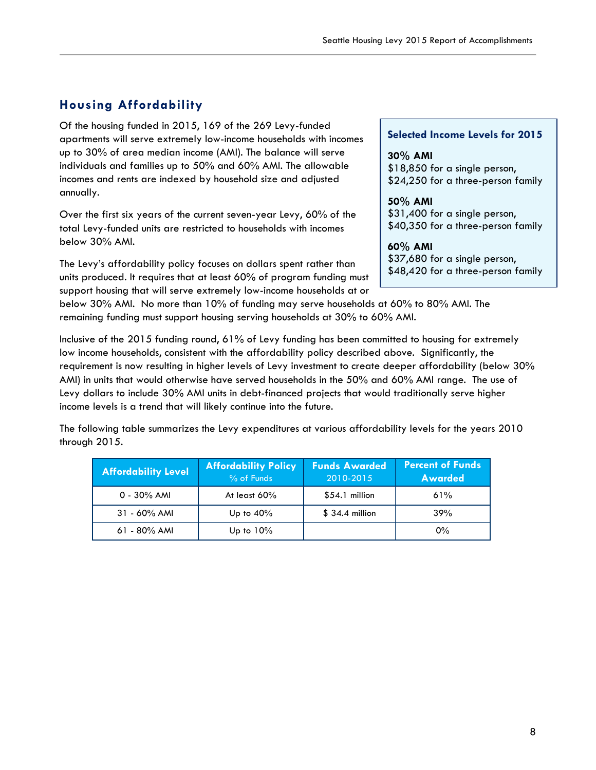#### **Housing Affordability**

Of the housing funded in 2015, 169 of the 269 Levy-funded apartments will serve extremely low-income households with incomes up to 30% of area median income (AMI). The balance will serve individuals and families up to 50% and 60% AMI. The allowable incomes and rents are indexed by household size and adjusted annually.

Over the first six years of the current seven-year Levy, 60% of the total Levy-funded units are restricted to households with incomes below 30% AMI.

The Levy's affordability policy focuses on dollars spent rather than units produced. It requires that at least 60% of program funding must support housing that will serve extremely low-income households at or

#### **Selected Income Levels for 2015**

**30% AMI** \$18,850 for a single person, \$24,250 for a three-person family

**50% AMI** \$31,400 for a single person, \$40,350 for a three-person family

#### **60% AMI**

\$37,680 for a single person, \$48,420 for a three-person family

below 30% AMI. No more than 10% of funding may serve households at 60% to 80% AMI. The remaining funding must support housing serving households at 30% to 60% AMI.

Inclusive of the 2015 funding round, 61% of Levy funding has been committed to housing for extremely low income households, consistent with the affordability policy described above. Significantly, the requirement is now resulting in higher levels of Levy investment to create deeper affordability (below 30% AMI) in units that would otherwise have served households in the 50% and 60% AMI range. The use of Levy dollars to include 30% AMI units in debt-financed projects that would traditionally serve higher income levels is a trend that will likely continue into the future.

The following table summarizes the Levy expenditures at various affordability levels for the years 2010 through 2015.

| <b>Affordability Level</b> | <b>Affordability Policy</b><br>% of Funds | <b>Funds Awarded</b><br>2010-2015 | <b>Percent of Funds</b><br><b>Awarded</b> |
|----------------------------|-------------------------------------------|-----------------------------------|-------------------------------------------|
| $0 - 30\%$ AMI             | At least $60\%$                           | $$54.1$ million                   | 61%                                       |
| $31 - 60\%$ AMI            | Up to $40\%$                              | $$34.4$ million                   | 39%                                       |
| $61 - 80\%$ AMI            | Up to $10\%$                              |                                   | $0\%$                                     |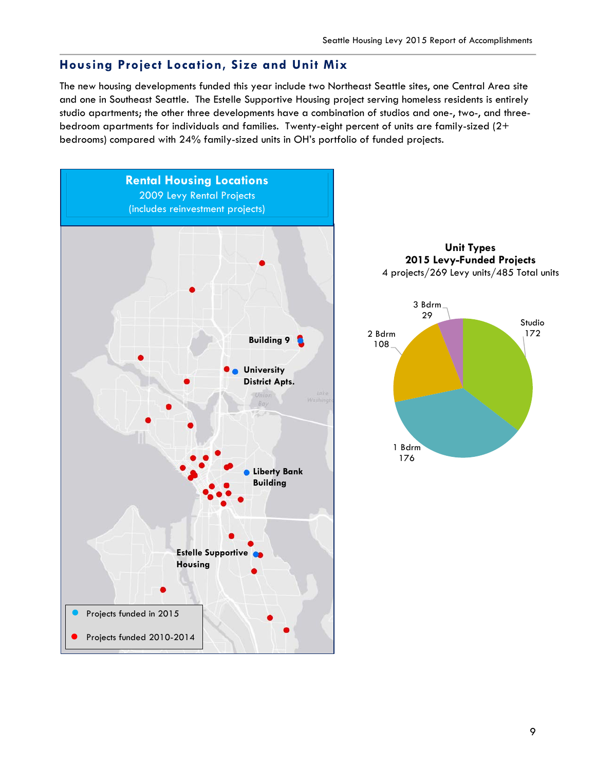#### **Housing Project Location, Size and Unit Mix**

The new housing developments funded this year include two Northeast Seattle sites, one Central Area site and one in Southeast Seattle. The Estelle Supportive Housing project serving homeless residents is entirely studio apartments; the other three developments have a combination of studios and one-, two-, and threebedroom apartments for individuals and families. Twenty-eight percent of units are family-sized (2+ bedrooms) compared with 24% family-sized units in OH's portfolio of funded projects.





1 Bdrm 176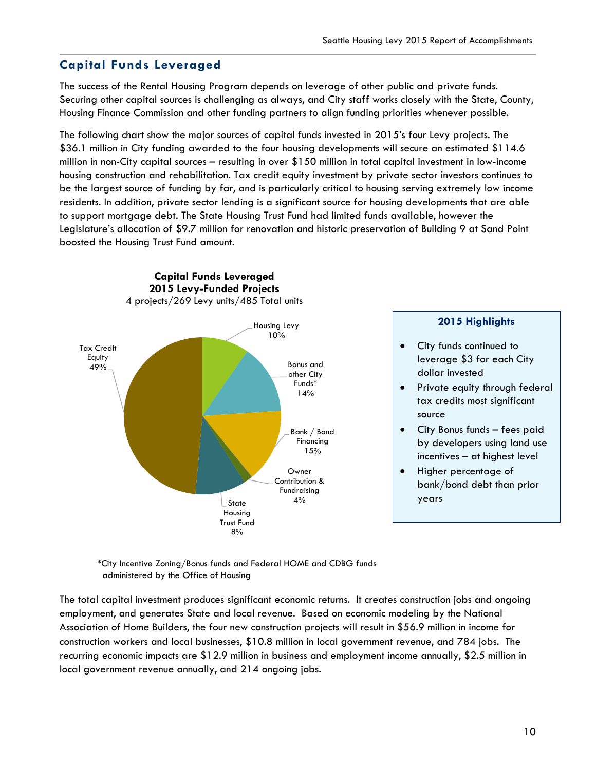#### **Capital Funds Leveraged**

The success of the Rental Housing Program depends on leverage of other public and private funds. Securing other capital sources is challenging as always, and City staff works closely with the State, County, Housing Finance Commission and other funding partners to align funding priorities whenever possible.

The following chart show the major sources of capital funds invested in 2015's four Levy projects. The \$36.1 million in City funding awarded to the four housing developments will secure an estimated \$114.6 million in non-City capital sources – resulting in over \$150 million in total capital investment in low-income housing construction and rehabilitation. Tax credit equity investment by private sector investors continues to be the largest source of funding by far, and is particularly critical to housing serving extremely low income residents. In addition, private sector lending is a significant source for housing developments that are able to support mortgage debt. The State Housing Trust Fund had limited funds available, however the Legislature's allocation of \$9.7 million for renovation and historic preservation of Building 9 at Sand Point boosted the Housing Trust Fund amount.



 \*City Incentive Zoning/Bonus funds and Federal HOME and CDBG funds administered by the Office of Housing

The total capital investment produces significant economic returns. It creates construction jobs and ongoing employment, and generates State and local revenue. Based on economic modeling by the National Association of Home Builders, the four new construction projects will result in \$56.9 million in income for construction workers and local businesses, \$10.8 million in local government revenue, and 784 jobs. The recurring economic impacts are \$12.9 million in business and employment income annually, \$2.5 million in local government revenue annually, and 214 ongoing jobs.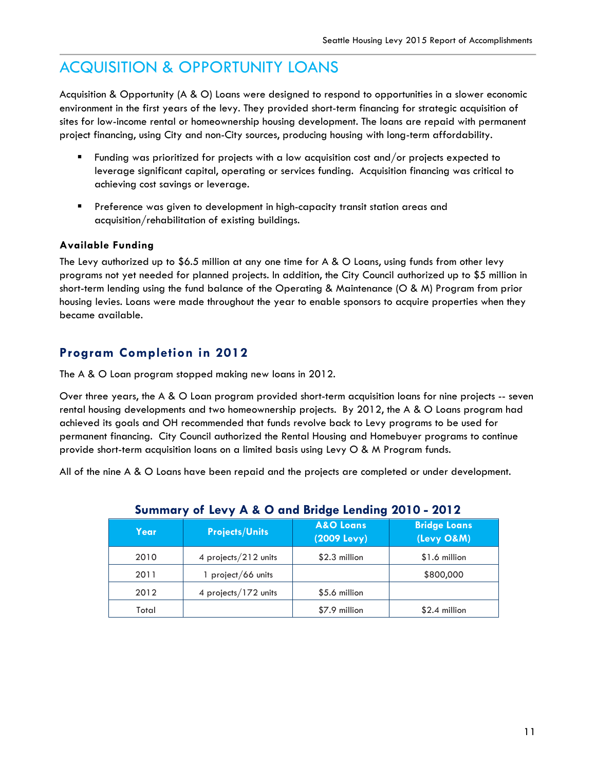# ACQUISITION & OPPORTUNITY LOANS

Acquisition & Opportunity (A & O) Loans were designed to respond to opportunities in a slower economic environment in the first years of the levy. They provided short-term financing for strategic acquisition of sites for low-income rental or homeownership housing development. The loans are repaid with permanent project financing, using City and non-City sources, producing housing with long-term affordability.

- Funding was prioritized for projects with a low acquisition cost and/or projects expected to leverage significant capital, operating or services funding. Acquisition financing was critical to achieving cost savings or leverage.
- **Preference was given to development in high-capacity transit station areas and** acquisition/rehabilitation of existing buildings.

#### **Available Funding**

The Levy authorized up to \$6.5 million at any one time for A & O Loans, using funds from other levy programs not yet needed for planned projects. In addition, the City Council authorized up to \$5 million in short-term lending using the fund balance of the Operating & Maintenance (O & M) Program from prior housing levies. Loans were made throughout the year to enable sponsors to acquire properties when they became available.

#### **Program Completion in 2012**

The A & O Loan program stopped making new loans in 2012.

Over three years, the A & O Loan program provided short-term acquisition loans for nine projects -- seven rental housing developments and two homeownership projects. By 2012, the A & O Loans program had achieved its goals and OH recommended that funds revolve back to Levy programs to be used for permanent financing. City Council authorized the Rental Housing and Homebuyer programs to continue provide short-term acquisition loans on a limited basis using Levy O & M Program funds.

All of the nine A & O Loans have been repaid and the projects are completed or under development.

| Year  | <b>Projects/Units</b> | <b>A&amp;O</b> Loans<br>(2009 Levy) | <b>Bridge Loans</b><br>(Levy O&M) |
|-------|-----------------------|-------------------------------------|-----------------------------------|
| 2010  | 4 projects/212 units  | $$2.3$ million                      | \$1.6 million                     |
| 2011  | 1 project/66 units    |                                     | \$800,000                         |
| 2012  | 4 projects/172 units  | \$5.6 million                       |                                   |
| Total |                       | \$7.9 million                       | $$2.4$ million                    |

#### **Summary of Levy A & O and Bridge Lending 2010 - 2012**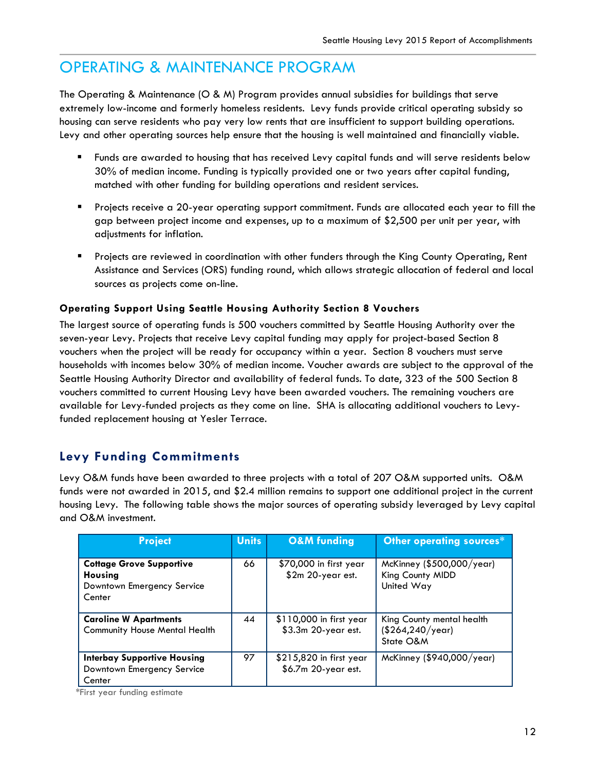# OPERATING & MAINTENANCE PROGRAM

The Operating & Maintenance (O & M) Program provides annual subsidies for buildings that serve extremely low-income and formerly homeless residents. Levy funds provide critical operating subsidy so housing can serve residents who pay very low rents that are insufficient to support building operations. Levy and other operating sources help ensure that the housing is well maintained and financially viable.

- Funds are awarded to housing that has received Levy capital funds and will serve residents below 30% of median income. Funding is typically provided one or two years after capital funding, matched with other funding for building operations and resident services.
- Projects receive a 20-year operating support commitment. Funds are allocated each year to fill the gap between project income and expenses, up to a maximum of \$2,500 per unit per year, with adjustments for inflation.
- Projects are reviewed in coordination with other funders through the King County Operating, Rent Assistance and Services (ORS) funding round, which allows strategic allocation of federal and local sources as projects come on-line.

#### **Operating Support Using Seattle Housing Authority Section 8 Vouchers**

The largest source of operating funds is 500 vouchers committed by Seattle Housing Authority over the seven-year Levy. Projects that receive Levy capital funding may apply for project-based Section 8 vouchers when the project will be ready for occupancy within a year. Section 8 vouchers must serve households with incomes below 30% of median income. Voucher awards are subject to the approval of the Seattle Housing Authority Director and availability of federal funds. To date, 323 of the 500 Section 8 vouchers committed to current Housing Levy have been awarded vouchers. The remaining vouchers are available for Levy-funded projects as they come on line. SHA is allocating additional vouchers to Levyfunded replacement housing at Yesler Terrace.

#### **Levy Funding Commitments**

Levy O&M funds have been awarded to three projects with a total of 207 O&M supported units. O&M funds were not awarded in 2015, and \$2.4 million remains to support one additional project in the current housing Levy. The following table shows the major sources of operating subsidy leveraged by Levy capital and O&M investment.

| <b>Project</b>                                                                            | <b>Units</b> | <b>O&amp;M</b> funding                         | Other operating sources*                                    |
|-------------------------------------------------------------------------------------------|--------------|------------------------------------------------|-------------------------------------------------------------|
| <b>Cottage Grove Supportive</b><br><b>Housing</b><br>Downtown Emergency Service<br>Center | 66           | \$70,000 in first year<br>\$2m 20-year est.    | McKinney (\$500,000/year)<br>King County MIDD<br>United Way |
| <b>Caroline W Apartments</b><br>Community House Mental Health                             | 44           | \$110,000 in first year<br>\$3.3m 20-year est. | King County mental health<br>(\$264, 240/year)<br>State O&M |
| <b>Interbay Supportive Housing</b><br>Downtown Emergency Service<br>Center                | 97           | \$215,820 in first year<br>\$6.7m 20-year est. | McKinney (\$940,000/year)                                   |

\*First year funding estimate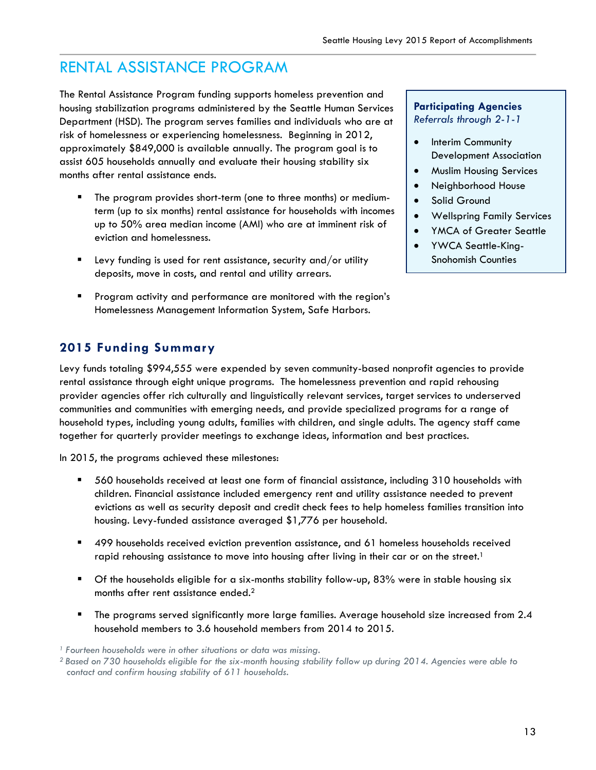# RENTAL ASSISTANCE PROGRAM

The Rental Assistance Program funding supports homeless prevention and housing stabilization programs administered by the Seattle Human Services Department (HSD). The program serves families and individuals who are at risk of homelessness or experiencing homelessness. Beginning in 2012, approximately \$849,000 is available annually. The program goal is to assist 605 households annually and evaluate their housing stability six months after rental assistance ends.

- The program provides short-term (one to three months) or mediumterm (up to six months) rental assistance for households with incomes up to 50% area median income (AMI) who are at imminent risk of eviction and homelessness.
- $\blacksquare$  Levy funding is used for rent assistance, security and/or utility deposits, move in costs, and rental and utility arrears.
- Program activity and performance are monitored with the region's Homelessness Management Information System, Safe Harbors.

#### **Participating Agencies** *Referrals through 2-1-1*

- Interim Community Development Association
- Muslim Housing Services
- Neighborhood House
- Solid Ground
- Wellspring Family Services
- YMCA of Greater Seattle
- YWCA Seattle-King-Snohomish Counties

#### **2015 Funding Summary**

Levy funds totaling \$994,555 were expended by seven community-based nonprofit agencies to provide rental assistance through eight unique programs. The homelessness prevention and rapid rehousing provider agencies offer rich culturally and linguistically relevant services, target services to underserved communities and communities with emerging needs, and provide specialized programs for a range of household types, including young adults, families with children, and single adults. The agency staff came together for quarterly provider meetings to exchange ideas, information and best practices.

In 2015, the programs achieved these milestones:

- 560 households received at least one form of financial assistance, including 310 households with children. Financial assistance included emergency rent and utility assistance needed to prevent evictions as well as security deposit and credit check fees to help homeless families transition into housing. Levy-funded assistance averaged \$1,776 per household.
- 499 households received eviction prevention assistance, and 61 homeless households received rapid rehousing assistance to move into housing after living in their car or on the street.<sup>1</sup>
- Of the households eligible for a six-months stability follow-up, 83% were in stable housing six months after rent assistance ended.<sup>2</sup>
- **The programs served significantly more large families. Average household size increased from 2.4** household members to 3.6 household members from 2014 to 2015.

*<sup>1</sup> Fourteen households were in other situations or data was missing.*

*<sup>2</sup> Based on 730 households eligible for the six-month housing stability follow up during 2014. Agencies were able to contact and confirm housing stability of 611 households.*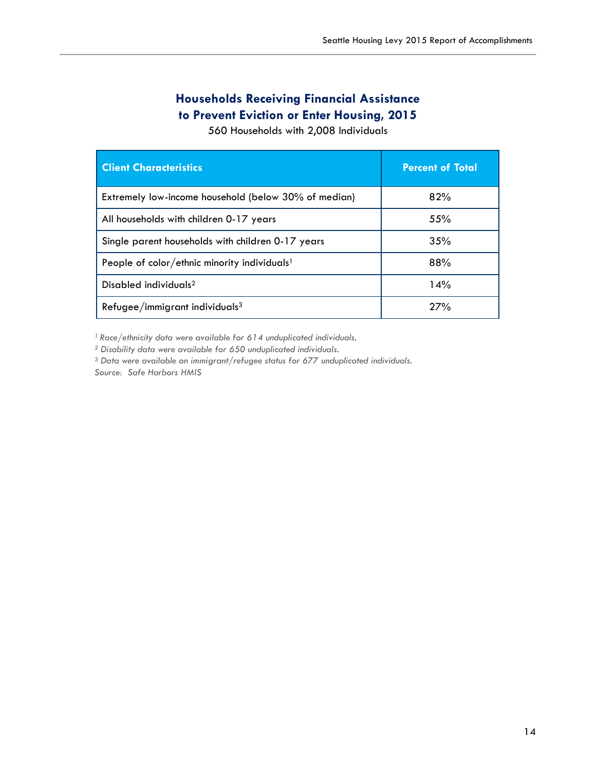#### **Households Receiving Financial Assistance to Prevent Eviction or Enter Housing, 2015**

560 Households with 2,008 Individuals

| <b>Client Characteristics</b>                            | <b>Percent of Total</b> |
|----------------------------------------------------------|-------------------------|
| Extremely low-income household (below 30% of median)     | 82%                     |
| All households with children 0-17 years                  | 55%                     |
| Single parent households with children 0-17 years        | 35%                     |
| People of color/ethnic minority individuals <sup>1</sup> | 88%                     |
| Disabled individuals <sup>2</sup>                        | 14%                     |
| Refugee/immigrant individuals <sup>3</sup>               | 27%                     |

<sup>1</sup> Race/ethnicity data were available for 614 unduplicated individuals.<br><sup>2</sup> Disability data were available for 650 unduplicated individuals.

*<sup>3</sup> Data were available on immigrant/refugee status for 677 unduplicated individuals.*

*Source: Safe Harbors HMIS*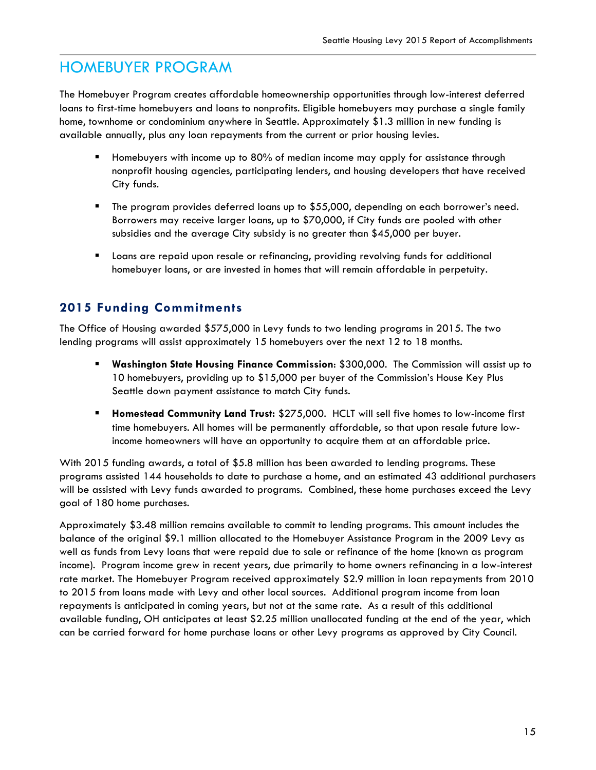# HOMEBUYER PROGRAM

The Homebuyer Program creates affordable homeownership opportunities through low-interest deferred loans to first-time homebuyers and loans to nonprofits. Eligible homebuyers may purchase a single family home, townhome or condominium anywhere in Seattle. Approximately \$1.3 million in new funding is available annually, plus any loan repayments from the current or prior housing levies.

- Homebuyers with income up to 80% of median income may apply for assistance through nonprofit housing agencies, participating lenders, and housing developers that have received City funds.
- The program provides deferred loans up to \$55,000, depending on each borrower's need. Borrowers may receive larger loans, up to \$70,000, if City funds are pooled with other subsidies and the average City subsidy is no greater than \$45,000 per buyer.
- Loans are repaid upon resale or refinancing, providing revolving funds for additional homebuyer loans, or are invested in homes that will remain affordable in perpetuity.

#### **2015 Funding Commitments**

The Office of Housing awarded \$575,000 in Levy funds to two lending programs in 2015. The two lending programs will assist approximately 15 homebuyers over the next 12 to 18 months.

- **Washington State Housing Finance Commission**: \$300,000. The Commission will assist up to 10 homebuyers, providing up to \$15,000 per buyer of the Commission's House Key Plus Seattle down payment assistance to match City funds.
- **Homestead Community Land Trust:** \$275,000. HCLT will sell five homes to low-income first time homebuyers. All homes will be permanently affordable, so that upon resale future lowincome homeowners will have an opportunity to acquire them at an affordable price.

With 2015 funding awards, a total of \$5.8 million has been awarded to lending programs. These programs assisted 144 households to date to purchase a home, and an estimated 43 additional purchasers will be assisted with Levy funds awarded to programs. Combined, these home purchases exceed the Levy goal of 180 home purchases.

Approximately \$3.48 million remains available to commit to lending programs. This amount includes the balance of the original \$9.1 million allocated to the Homebuyer Assistance Program in the 2009 Levy as well as funds from Levy loans that were repaid due to sale or refinance of the home (known as program income). Program income grew in recent years, due primarily to home owners refinancing in a low-interest rate market. The Homebuyer Program received approximately \$2.9 million in loan repayments from 2010 to 2015 from loans made with Levy and other local sources. Additional program income from loan repayments is anticipated in coming years, but not at the same rate. As a result of this additional available funding, OH anticipates at least \$2.25 million unallocated funding at the end of the year, which can be carried forward for home purchase loans or other Levy programs as approved by City Council.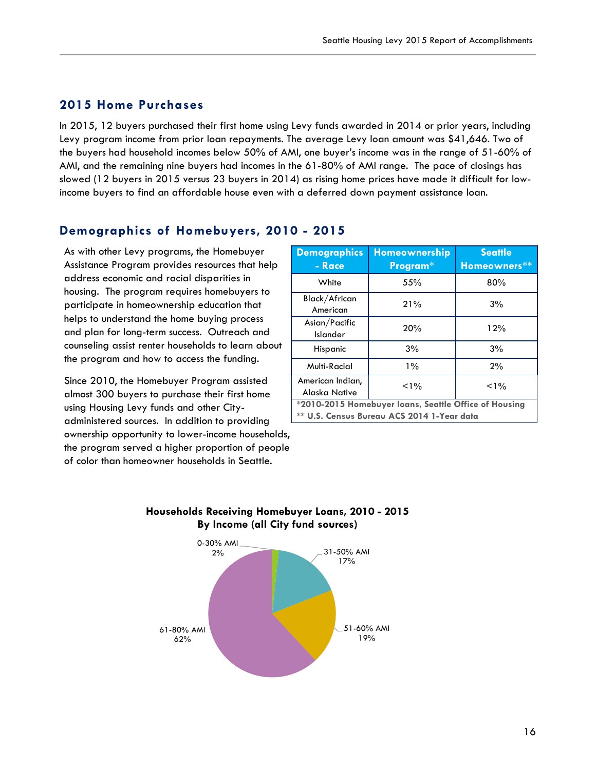#### **2015 Home Purchases**

In 2015, 12 buyers purchased their first home using Levy funds awarded in 2014 or prior years, including Levy program income from prior loan repayments. The average Levy loan amount was \$41,646. Two of the buyers had household incomes below 50% of AMI, one buyer's income was in the range of 51-60% of AMI, and the remaining nine buyers had incomes in the 61-80% of AMI range. The pace of closings has slowed (12 buyers in 2015 versus 23 buyers in 2014) as rising home prices have made it difficult for lowincome buyers to find an affordable house even with a deferred down payment assistance loan.

#### **Demographics of Homebuyers, 2010 - 2015**

As with other Levy programs, the Homebuyer Assistance Program provides resources that help address economic and racial disparities in housing. The program requires homebuyers to participate in homeownership education that helps to understand the home buying process and plan for long-term success. Outreach and counseling assist renter households to learn about the program and how to access the funding.

Since 2010, the Homebuyer Program assisted almost 300 buyers to purchase their first home using Housing Levy funds and other Cityadministered sources. In addition to providing ownership opportunity to lower-income households, the program served a higher proportion of people of color than homeowner households in Seattle.

| <b>Demographics</b><br>- Race                                                                       | <b>Homeownership</b><br>Program* | <b>Seattle</b><br>Homeowners** |  |  |
|-----------------------------------------------------------------------------------------------------|----------------------------------|--------------------------------|--|--|
| White                                                                                               | 55%                              | 80%                            |  |  |
| Black/African<br>American                                                                           | 21%                              | 3%                             |  |  |
| Asian/Pacific<br>Islander                                                                           | 20%                              | 12%                            |  |  |
| Hispanic                                                                                            | 3%                               | 3%                             |  |  |
| Multi-Racial                                                                                        | $1\%$                            | 2%                             |  |  |
| American Indian,<br>Alaska Native                                                                   | $< 1\%$                          | $< 1\%$                        |  |  |
| *2010-2015 Homebuyer loans, Seattle Office of Housing<br>** U.S. Census Bureau ACS 2014 1-Year data |                                  |                                |  |  |

#### **Households Receiving Homebuyer Loans, 2010 - 2015 By Income (all City fund sources)**

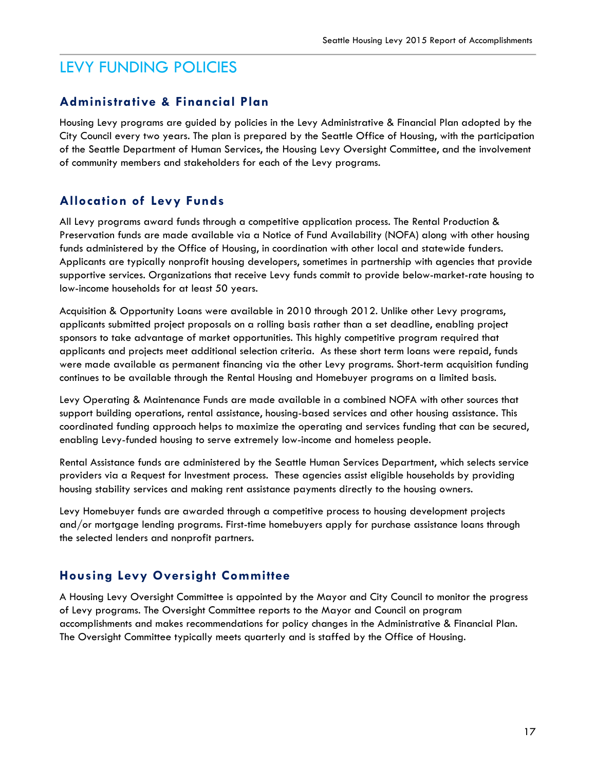# LEVY FUNDING POLICIES

#### **Administrative & Financial Plan**

Housing Levy programs are guided by policies in the Levy Administrative & Financial Plan adopted by the City Council every two years. The plan is prepared by the Seattle Office of Housing, with the participation of the Seattle Department of Human Services, the Housing Levy Oversight Committee, and the involvement of community members and stakeholders for each of the Levy programs.

#### **Allocation of Levy Funds**

All Levy programs award funds through a competitive application process. The Rental Production & Preservation funds are made available via a Notice of Fund Availability (NOFA) along with other housing funds administered by the Office of Housing, in coordination with other local and statewide funders. Applicants are typically nonprofit housing developers, sometimes in partnership with agencies that provide supportive services. Organizations that receive Levy funds commit to provide below-market-rate housing to low-income households for at least 50 years.

Acquisition & Opportunity Loans were available in 2010 through 2012. Unlike other Levy programs, applicants submitted project proposals on a rolling basis rather than a set deadline, enabling project sponsors to take advantage of market opportunities. This highly competitive program required that applicants and projects meet additional selection criteria. As these short term loans were repaid, funds were made available as permanent financing via the other Levy programs. Short-term acquisition funding continues to be available through the Rental Housing and Homebuyer programs on a limited basis.

Levy Operating & Maintenance Funds are made available in a combined NOFA with other sources that support building operations, rental assistance, housing-based services and other housing assistance. This coordinated funding approach helps to maximize the operating and services funding that can be secured, enabling Levy-funded housing to serve extremely low-income and homeless people.

Rental Assistance funds are administered by the Seattle Human Services Department, which selects service providers via a Request for Investment process. These agencies assist eligible households by providing housing stability services and making rent assistance payments directly to the housing owners.

Levy Homebuyer funds are awarded through a competitive process to housing development projects and/or mortgage lending programs. First-time homebuyers apply for purchase assistance loans through the selected lenders and nonprofit partners.

### **Housing Levy Oversight Committee**

A Housing Levy Oversight Committee is appointed by the Mayor and City Council to monitor the progress of Levy programs. The Oversight Committee reports to the Mayor and Council on program accomplishments and makes recommendations for policy changes in the Administrative & Financial Plan. The Oversight Committee typically meets quarterly and is staffed by the Office of Housing.